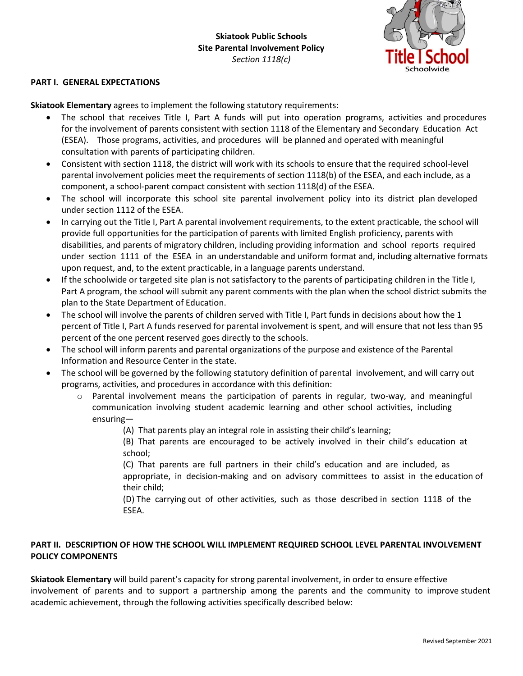

## **PART I. GENERAL EXPECTATIONS**

**Skiatook Elementary** agrees to implement the following statutory requirements:

- The school that receives Title I, Part A funds will put into operation programs, activities and procedures for the involvement of parents consistent with section 1118 of the Elementary and Secondary Education Act (ESEA). Those programs, activities, and procedures will be planned and operated with meaningful consultation with parents of participating children.
- Consistent with section 1118, the district will work with its schools to ensure that the required school-level parental involvement policies meet the requirements of section 1118(b) of the ESEA, and each include, as a component, a school-parent compact consistent with section 1118(d) of the ESEA.
- The school will incorporate this school site parental involvement policy into its district plan developed under section 1112 of the ESEA.
- In carrying out the Title I, Part A parental involvement requirements, to the extent practicable, the school will provide full opportunities for the participation of parents with limited English proficiency, parents with disabilities, and parents of migratory children, including providing information and school reports required under section 1111 of the ESEA in an understandable and uniform format and, including alternative formats upon request, and, to the extent practicable, in a language parents understand.
- If the schoolwide or targeted site plan is not satisfactory to the parents of participating children in the Title I, Part A program, the school will submit any parent comments with the plan when the school district submits the plan to the State Department of Education.
- The school will involve the parents of children served with Title I, Part funds in decisions about how the 1 percent of Title I, Part A funds reserved for parental involvement is spent, and will ensure that not less than 95 percent of the one percent reserved goes directly to the schools.
- The school will inform parents and parental organizations of the purpose and existence of the Parental Information and Resource Center in the state.
- The school will be governed by the following statutory definition of parental involvement, and will carry out programs, activities, and procedures in accordance with this definition:
	- $\circ$  Parental involvement means the participation of parents in regular, two-way, and meaningful communication involving student academic learning and other school activities, including ensuring—
		- (A) That parents play an integral role in assisting their child's learning;
		- (B) That parents are encouraged to be actively involved in their child's education at school;
		- (C) That parents are full partners in their child's education and are included, as appropriate, in decision-making and on advisory committees to assist in the education of their child;
		- (D) The carrying out of other activities, such as those described in section 1118 of the ESEA.

## **PART II. DESCRIPTION OF HOW THE SCHOOL WILL IMPLEMENT REQUIRED SCHOOL LEVEL PARENTAL INVOLVEMENT POLICY COMPONENTS**

**Skiatook Elementary** will build parent's capacity for strong parental involvement, in order to ensure effective involvement of parents and to support a partnership among the parents and the community to improve student academic achievement, through the following activities specifically described below: